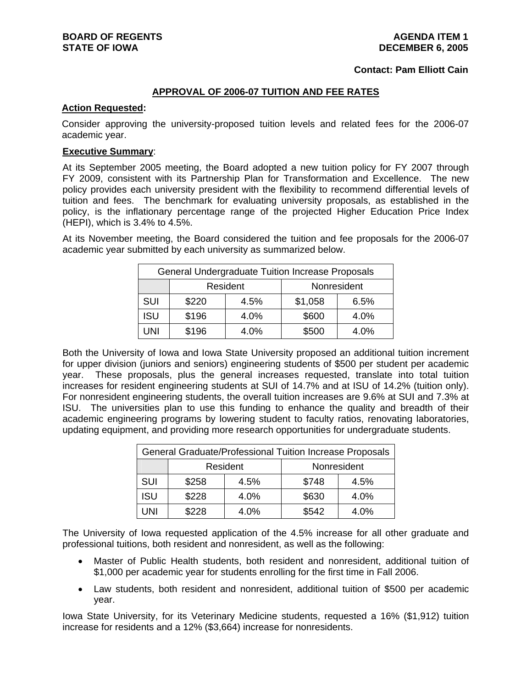#### **Contact: Pam Elliott Cain**

## **APPROVAL OF 2006-07 TUITION AND FEE RATES**

#### **Action Requested:**

Consider approving the university-proposed tuition levels and related fees for the 2006-07 academic year.

### **Executive Summary**:

At its September 2005 meeting, the Board adopted a new tuition policy for FY 2007 through FY 2009, consistent with its Partnership Plan for Transformation and Excellence. The new policy provides each university president with the flexibility to recommend differential levels of tuition and fees. The benchmark for evaluating university proposals, as established in the policy, is the inflationary percentage range of the projected Higher Education Price Index (HEPI), which is 3.4% to 4.5%.

At its November meeting, the Board considered the tuition and fee proposals for the 2006-07 academic year submitted by each university as summarized below.

| General Undergraduate Tuition Increase Proposals |       |      |         |      |  |  |  |  |
|--------------------------------------------------|-------|------|---------|------|--|--|--|--|
| Nonresident<br>Resident                          |       |      |         |      |  |  |  |  |
| <b>SUI</b>                                       | \$220 | 4.5% | \$1,058 | 6.5% |  |  |  |  |
| ISU                                              | \$196 | 4.0% | \$600   | 4.0% |  |  |  |  |
| UNI                                              | \$196 | 4.0% | \$500   | 4.0% |  |  |  |  |

Both the University of Iowa and Iowa State University proposed an additional tuition increment for upper division (juniors and seniors) engineering students of \$500 per student per academic year. These proposals, plus the general increases requested, translate into total tuition increases for resident engineering students at SUI of 14.7% and at ISU of 14.2% (tuition only). For nonresident engineering students, the overall tuition increases are 9.6% at SUI and 7.3% at ISU. The universities plan to use this funding to enhance the quality and breadth of their academic engineering programs by lowering student to faculty ratios, renovating laboratories, updating equipment, and providing more research opportunities for undergraduate students.

|            | General Graduate/Professional Tuition Increase Proposals |      |             |      |  |  |  |  |  |
|------------|----------------------------------------------------------|------|-------------|------|--|--|--|--|--|
|            | Resident                                                 |      | Nonresident |      |  |  |  |  |  |
| SUI        | \$258                                                    | 4.5% | \$748       | 4.5% |  |  |  |  |  |
| <b>ISU</b> | \$228                                                    | 4.0% | \$630       | 4.0% |  |  |  |  |  |
| UNI        | \$228                                                    | 4.0% | \$542       | 4.0% |  |  |  |  |  |

The University of Iowa requested application of the 4.5% increase for all other graduate and professional tuitions, both resident and nonresident, as well as the following:

- Master of Public Health students, both resident and nonresident, additional tuition of \$1,000 per academic year for students enrolling for the first time in Fall 2006.
- Law students, both resident and nonresident, additional tuition of \$500 per academic year.

Iowa State University, for its Veterinary Medicine students, requested a 16% (\$1,912) tuition increase for residents and a 12% (\$3,664) increase for nonresidents.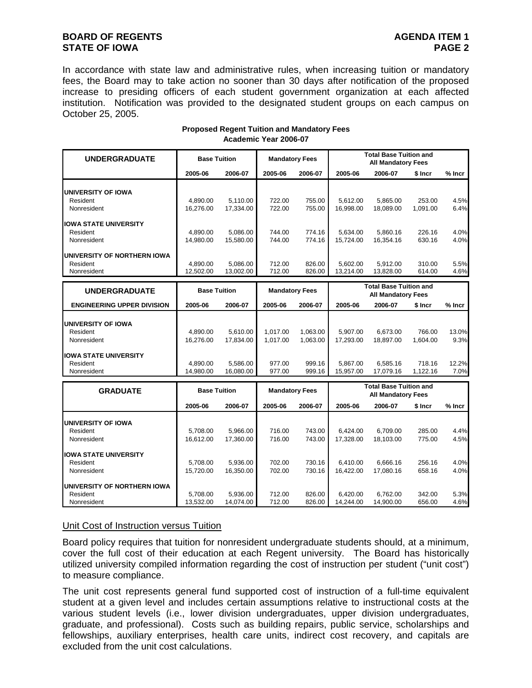# **BOARD OF REGENTS AGENERATION CONTROLLER AGENERATION AGENERATION AGENERATION CONTROLLER AGENERATION STATE OF IOWA** PAGE 2

In accordance with state law and administrative rules, when increasing tuition or mandatory fees, the Board may to take action no sooner than 30 days after notification of the proposed increase to presiding officers of each student government organization at each affected institution. Notification was provided to the designated student groups on each campus on October 25, 2005.

| <b>UNDERGRADUATE</b>              | <b>Base Tuition</b> |           |          | <b>Mandatory Fees</b> | <b>Total Base Tuition and</b><br><b>All Mandatory Fees</b> |                                                            |          |          |  |  |
|-----------------------------------|---------------------|-----------|----------|-----------------------|------------------------------------------------------------|------------------------------------------------------------|----------|----------|--|--|
|                                   | 2005-06             | 2006-07   | 2005-06  | 2006-07               | 2005-06                                                    | 2006-07                                                    | \$ Incr  | $%$ Incr |  |  |
| <b>UNIVERSITY OF IOWA</b>         |                     |           |          |                       |                                                            |                                                            |          |          |  |  |
| Resident                          | 4,890.00            | 5.110.00  | 722.00   | 755.00                | 5.612.00                                                   | 5,865.00                                                   | 253.00   | 4.5%     |  |  |
| Nonresident                       | 16,276.00           | 17,334.00 | 722.00   | 755.00                | 16,998.00                                                  | 18,089.00                                                  | 1,091.00 | 6.4%     |  |  |
| <b>IOWA STATE UNIVERSITY</b>      |                     |           |          |                       |                                                            |                                                            |          |          |  |  |
| Resident                          | 4.890.00            | 5.086.00  | 744.00   | 774.16                | 5.634.00                                                   | 5,860.16                                                   | 226.16   | 4.0%     |  |  |
| Nonresident                       | 14,980.00           | 15,580.00 | 744.00   | 774.16                | 15.724.00                                                  | 16,354.16                                                  | 630.16   | 4.0%     |  |  |
| UNIVERSITY OF NORTHERN IOWA       |                     |           |          |                       |                                                            |                                                            |          |          |  |  |
| Resident                          | 4,890.00            | 5,086.00  | 712.00   | 826.00                | 5,602.00                                                   | 5,912.00                                                   | 310.00   | 5.5%     |  |  |
| Nonresident                       | 12,502.00           | 13,002.00 | 712.00   | 826.00                | 13,214.00                                                  | 13,828.00                                                  | 614.00   | 4.6%     |  |  |
| <b>UNDERGRADUATE</b>              | <b>Base Tuition</b> |           |          | <b>Mandatory Fees</b> | <b>Total Base Tuition and</b>                              |                                                            |          |          |  |  |
| <b>ENGINEERING UPPER DIVISION</b> | 2005-06             | 2006-07   | 2005-06  | 2006-07               | 2005-06                                                    | <b>All Mandatory Fees</b><br>2006-07                       | \$ Incr  | % Incr   |  |  |
| UNIVERSITY OF IOWA                |                     |           |          |                       |                                                            |                                                            |          |          |  |  |
| Resident                          | 4,890.00            | 5.610.00  | 1,017.00 | 1.063.00              | 5,907.00                                                   | 6,673.00                                                   | 766.00   | 13.0%    |  |  |
| Nonresident                       | 16,276.00           | 17,834.00 | 1,017.00 | 1,063.00              | 17,293.00                                                  | 18,897.00                                                  | 1,604.00 | 9.3%     |  |  |
|                                   |                     |           |          |                       |                                                            |                                                            |          |          |  |  |
| <b>IOWA STATE UNIVERSITY</b>      |                     |           |          |                       |                                                            |                                                            |          |          |  |  |
| Resident                          | 4,890.00            | 5.586.00  | 977.00   | 999.16                | 5.867.00                                                   | 6,585.16                                                   | 718.16   | 12.2%    |  |  |
| Nonresident                       | 14,980.00           | 16,080.00 | 977.00   | 999.16                | 15,957.00                                                  | 17,079.16                                                  | 1,122.16 | 7.0%     |  |  |
| <b>GRADUATE</b>                   | <b>Base Tuition</b> |           |          | <b>Mandatory Fees</b> |                                                            | <b>Total Base Tuition and</b><br><b>All Mandatory Fees</b> |          |          |  |  |
|                                   | 2005-06             | 2006-07   | 2005-06  | 2006-07               | 2005-06                                                    | 2006-07                                                    | \$ Incr  | $%$ Incr |  |  |
| <b>UNIVERSITY OF IOWA</b>         |                     |           |          |                       |                                                            |                                                            |          |          |  |  |
| Resident                          | 5.708.00            | 5,966.00  | 716.00   | 743.00                | 6.424.00                                                   | 6,709.00                                                   | 285.00   | 4.4%     |  |  |
| Nonresident                       | 16,612.00           | 17,360.00 | 716.00   | 743.00                | 17,328.00                                                  | 18,103.00                                                  | 775.00   | 4.5%     |  |  |
| <b>IOWA STATE UNIVERSITY</b>      |                     |           |          |                       |                                                            |                                                            |          |          |  |  |
| Resident                          | 5,708.00            | 5,936.00  | 702.00   | 730.16                | 6,410.00                                                   | 6,666.16                                                   | 256.16   | 4.0%     |  |  |
| Nonresident                       | 15,720.00           | 16,350.00 | 702.00   | 730.16                | 16,422.00                                                  | 17,080.16                                                  | 658.16   | 4.0%     |  |  |
| UNIVERSITY OF NORTHERN IOWA       |                     |           |          |                       |                                                            |                                                            |          |          |  |  |
| Resident                          | 5,708.00            | 5.936.00  | 712.00   | 826.00                | 6.420.00                                                   | 6.762.00                                                   | 342.00   | 5.3%     |  |  |
| Nonresident                       | 13,532.00           | 14,074.00 | 712.00   | 826.00                | 14,244.00                                                  | 14,900.00                                                  | 656.00   | 4.6%     |  |  |

# **Proposed Regent Tuition and Mandatory Fees Academic Year 2006-07**

## Unit Cost of Instruction versus Tuition

Board policy requires that tuition for nonresident undergraduate students should, at a minimum, cover the full cost of their education at each Regent university. The Board has historically utilized university compiled information regarding the cost of instruction per student ("unit cost") to measure compliance.

The unit cost represents general fund supported cost of instruction of a full-time equivalent student at a given level and includes certain assumptions relative to instructional costs at the various student levels (i.e., lower division undergraduates, upper division undergraduates, graduate, and professional). Costs such as building repairs, public service, scholarships and fellowships, auxiliary enterprises, health care units, indirect cost recovery, and capitals are excluded from the unit cost calculations.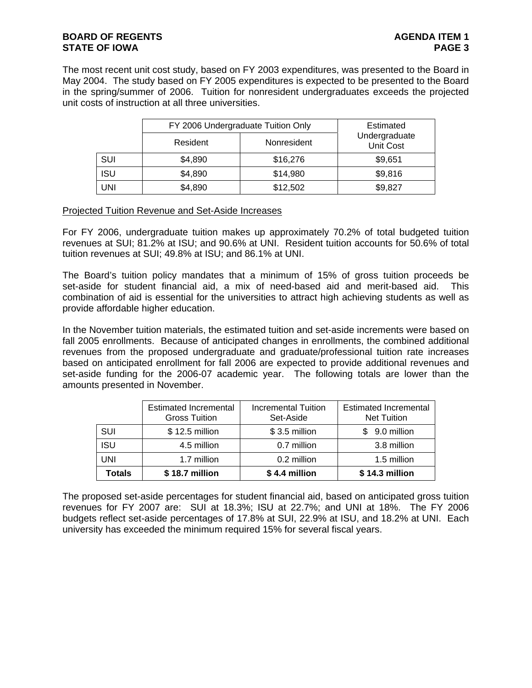The most recent unit cost study, based on FY 2003 expenditures, was presented to the Board in May 2004. The study based on FY 2005 expenditures is expected to be presented to the Board in the spring/summer of 2006. Tuition for nonresident undergraduates exceeds the projected unit costs of instruction at all three universities.

|            | FY 2006 Undergraduate Tuition Only | Estimated   |                            |
|------------|------------------------------------|-------------|----------------------------|
|            | Resident                           | Nonresident | Undergraduate<br>Unit Cost |
| SUI        | \$4,890                            | \$16,276    | \$9,651                    |
| <b>ISU</b> | \$4,890                            | \$14,980    | \$9,816                    |
| UNI        | \$4,890                            | \$12,502    | \$9,827                    |

# Projected Tuition Revenue and Set-Aside Increases

For FY 2006, undergraduate tuition makes up approximately 70.2% of total budgeted tuition revenues at SUI; 81.2% at ISU; and 90.6% at UNI. Resident tuition accounts for 50.6% of total tuition revenues at SUI; 49.8% at ISU; and 86.1% at UNI.

The Board's tuition policy mandates that a minimum of 15% of gross tuition proceeds be set-aside for student financial aid, a mix of need-based aid and merit-based aid. This combination of aid is essential for the universities to attract high achieving students as well as provide affordable higher education.

In the November tuition materials, the estimated tuition and set-aside increments were based on fall 2005 enrollments. Because of anticipated changes in enrollments, the combined additional revenues from the proposed undergraduate and graduate/professional tuition rate increases based on anticipated enrollment for fall 2006 are expected to provide additional revenues and set-aside funding for the 2006-07 academic year. The following totals are lower than the amounts presented in November.

|            | Estimated Incremental<br><b>Gross Tuition</b> | <b>Estimated Incremental</b><br><b>Net Tuition</b> |                |  |
|------------|-----------------------------------------------|----------------------------------------------------|----------------|--|
| SUI        | \$12.5 million                                | \$3.5 million                                      | $$9.0$ million |  |
| ISU        | 4.5 million                                   | 0.7 million                                        | 3.8 million    |  |
| <b>UNI</b> | 1.7 million                                   | 0.2 million                                        | 1.5 million    |  |
| Totals     | \$18.7 million                                | \$4.4 million                                      | \$14.3 million |  |

The proposed set-aside percentages for student financial aid, based on anticipated gross tuition revenues for FY 2007 are: SUI at 18.3%; ISU at 22.7%; and UNI at 18%. The FY 2006 budgets reflect set-aside percentages of 17.8% at SUI, 22.9% at ISU, and 18.2% at UNI. Each university has exceeded the minimum required 15% for several fiscal years.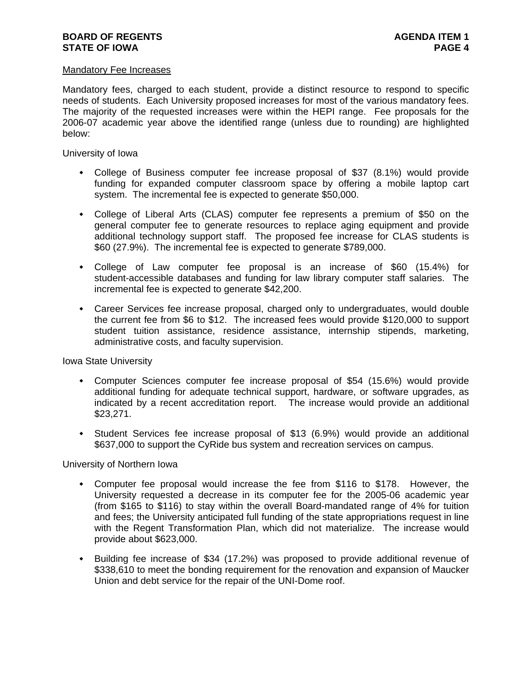# **BOARD OF REGENTS AGENTS** AGENDA ITEM 1 **STATE OF IOWA** PAGE 4

## Mandatory Fee Increases

Mandatory fees, charged to each student, provide a distinct resource to respond to specific needs of students. Each University proposed increases for most of the various mandatory fees. The majority of the requested increases were within the HEPI range. Fee proposals for the 2006-07 academic year above the identified range (unless due to rounding) are highlighted below:

University of Iowa

- College of Business computer fee increase proposal of \$37 (8.1%) would provide funding for expanded computer classroom space by offering a mobile laptop cart system. The incremental fee is expected to generate \$50,000.
- College of Liberal Arts (CLAS) computer fee represents a premium of \$50 on the general computer fee to generate resources to replace aging equipment and provide additional technology support staff. The proposed fee increase for CLAS students is \$60 (27.9%). The incremental fee is expected to generate \$789,000.
- College of Law computer fee proposal is an increase of \$60 (15.4%) for student-accessible databases and funding for law library computer staff salaries. The incremental fee is expected to generate \$42,200.
- Career Services fee increase proposal, charged only to undergraduates, would double the current fee from \$6 to \$12. The increased fees would provide \$120,000 to support student tuition assistance, residence assistance, internship stipends, marketing, administrative costs, and faculty supervision.

Iowa State University

- Computer Sciences computer fee increase proposal of \$54 (15.6%) would provide additional funding for adequate technical support, hardware, or software upgrades, as indicated by a recent accreditation report. The increase would provide an additional \$23,271.
- Student Services fee increase proposal of \$13 (6.9%) would provide an additional \$637,000 to support the CyRide bus system and recreation services on campus.

University of Northern Iowa

- Computer fee proposal would increase the fee from \$116 to \$178. However, the University requested a decrease in its computer fee for the 2005-06 academic year (from \$165 to \$116) to stay within the overall Board-mandated range of 4% for tuition and fees; the University anticipated full funding of the state appropriations request in line with the Regent Transformation Plan, which did not materialize. The increase would provide about \$623,000.
- Building fee increase of \$34 (17.2%) was proposed to provide additional revenue of \$338,610 to meet the bonding requirement for the renovation and expansion of Maucker Union and debt service for the repair of the UNI-Dome roof.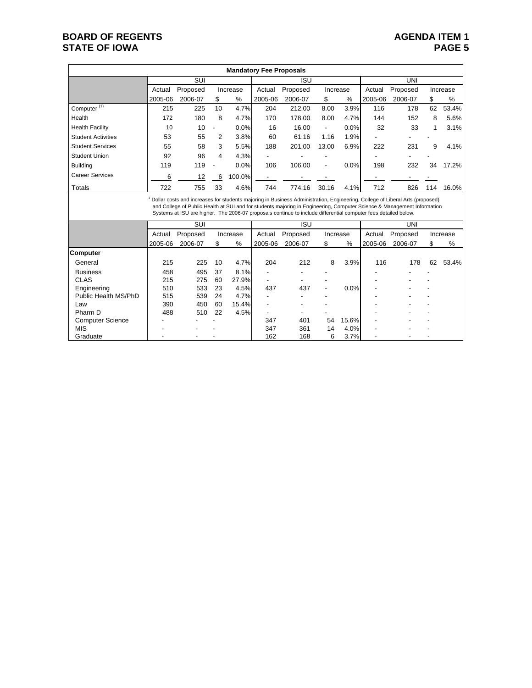# **BOARD OF REGENTS AGENDA ITEM 1 STATE OF IOWA**

|                              | <b>Mandatory Fee Proposals</b> |                                                                                                                                                                                                                                                                                                                                                                            |                |          |                                |            |                          |        |          |            |          |          |  |
|------------------------------|--------------------------------|----------------------------------------------------------------------------------------------------------------------------------------------------------------------------------------------------------------------------------------------------------------------------------------------------------------------------------------------------------------------------|----------------|----------|--------------------------------|------------|--------------------------|--------|----------|------------|----------|----------|--|
|                              |                                | <b>SUI</b>                                                                                                                                                                                                                                                                                                                                                                 |                |          |                                | <b>ISU</b> |                          |        |          | <b>UNI</b> |          |          |  |
|                              | Actual                         | Proposed                                                                                                                                                                                                                                                                                                                                                                   |                | Increase | Actual                         | Proposed   | Increase                 |        | Actual   | Proposed   |          | Increase |  |
|                              | 2005-06                        | 2006-07                                                                                                                                                                                                                                                                                                                                                                    | \$             | $\%$     | 2005-06                        | 2006-07    | \$                       | $\%$   | 2005-06  | 2006-07    | \$       | %        |  |
| Computer $\overline{^{(1)}}$ | 215                            | 225                                                                                                                                                                                                                                                                                                                                                                        | 10             | 4.7%     | 204                            | 212.00     | 8.00                     | 3.9%   | 116      | 178        | 62       | 53.4%    |  |
| Health                       | 172                            | 180                                                                                                                                                                                                                                                                                                                                                                        | 8              | 4.7%     | 170                            | 178.00     | 8.00                     | 4.7%   | 144      | 152        | 8        | 5.6%     |  |
| <b>Health Facility</b>       | 10                             | 10                                                                                                                                                                                                                                                                                                                                                                         | $\overline{a}$ | 0.0%     | 16                             | 16.00      | $\overline{\phantom{a}}$ | 0.0%   | 32       | 33         |          | 3.1%     |  |
| <b>Student Activities</b>    | 53                             | 55                                                                                                                                                                                                                                                                                                                                                                         | 2              | 3.8%     | 60                             | 61.16      | 1.16                     | 1.9%   |          |            |          |          |  |
| <b>Student Services</b>      | 55                             | 58                                                                                                                                                                                                                                                                                                                                                                         | 3              | 5.5%     | 188                            | 201.00     | 13.00                    | 6.9%   | 222      | 231        | 9        | 4.1%     |  |
| <b>Student Union</b>         | 92                             | 96                                                                                                                                                                                                                                                                                                                                                                         | 4              | 4.3%     |                                |            |                          |        |          |            |          |          |  |
| <b>Building</b>              | 119                            | 119                                                                                                                                                                                                                                                                                                                                                                        |                | 0.0%     | 106                            | 106.00     |                          | 0.0%   | 198      | 232        | 34       | 17.2%    |  |
| <b>Career Services</b>       | 6                              | 12                                                                                                                                                                                                                                                                                                                                                                         | 6              | 100.0%   |                                |            |                          |        |          |            |          |          |  |
| Totals                       | 722                            | 755                                                                                                                                                                                                                                                                                                                                                                        | 33             | 4.6%     | 744                            | 774.16     | 30.16                    | 4.1%   | 712      | 826        | 114      | 16.0%    |  |
|                              |                                | Dollar costs and increases for students majoring in Business Administration, Engineering, College of Liberal Arts (proposed)<br>and College of Public Health at SUI and for students majoring in Engineering, Computer Science & Management Information<br>Systems at ISU are higher. The 2006-07 proposals continue to include differential computer fees detailed below. |                |          |                                |            |                          |        |          |            |          |          |  |
|                              |                                | SUI                                                                                                                                                                                                                                                                                                                                                                        |                |          |                                | <b>ISU</b> |                          |        |          | <b>UNI</b> |          |          |  |
|                              | Actual                         | Proposed                                                                                                                                                                                                                                                                                                                                                                   |                | Increase | Proposed<br>Actual<br>Increase |            |                          | Actual | Proposed |            | Increase |          |  |
|                              | 2005-06                        | 2006-07                                                                                                                                                                                                                                                                                                                                                                    | S              | $\%$     | 2005-06                        | 2006-07    | \$                       | ℅      | 2005-06  | 2006-07    | \$       | $\%$     |  |
| Computer                     |                                |                                                                                                                                                                                                                                                                                                                                                                            |                |          |                                |            |                          |        |          |            |          |          |  |
| General                      | 215                            | 225                                                                                                                                                                                                                                                                                                                                                                        | 10             | 4.7%     | 204                            | 212        | 8                        | 3.9%   | 116      | 178        | 62       | 53.4%    |  |
| <b>Business</b>              | 458                            | 495                                                                                                                                                                                                                                                                                                                                                                        | 37             | 8.1%     |                                |            |                          |        |          |            |          |          |  |

 CLAS 215 275 60 27.9% - - - - - - Engineering 510 533 23 4.5% 437 437 - 0.0% - - - - - Public Health MS/PhD 515 539 24 4.7% - - - - - - - - - - Public Health MS/PhD 515 539 24 4.7% - - - - - - Law 390 450 60 15.4% - - - - - - Pharm D | 488 510 22 4.5% | - - - - | - - - - Computer Science - - - 347 401 54 15.6% - - - MIS - - - 347 361 14 4.0% - - - Graduate - - - 162 168 6 3.7% - - -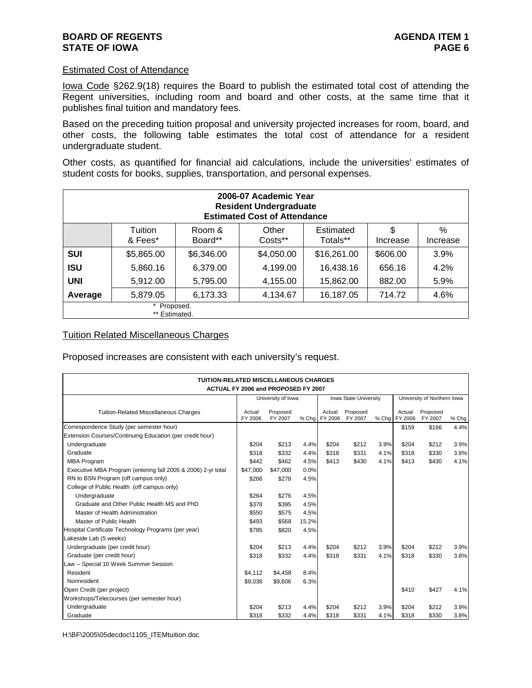#### Estimated Cost of Attendance

Iowa Code §262.9(18) requires the Board to publish the estimated total cost of attending the Regent universities, including room and board and other costs, at the same time that it publishes final tuition and mandatory fees.

Based on the preceding tuition proposal and university projected increases for room, board, and other costs, the following table estimates the total cost of attendance for a resident undergraduate student.

Other costs, as quantified for financial aid calculations, include the universities' estimates of student costs for books, supplies, transportation, and personal expenses.

|            | 2006-07 Academic Year<br><b>Resident Undergraduate</b><br><b>Estimated Cost of Attendance</b> |                   |                  |                       |                |               |  |  |  |  |
|------------|-----------------------------------------------------------------------------------------------|-------------------|------------------|-----------------------|----------------|---------------|--|--|--|--|
|            | Tuition<br>& Fees*                                                                            | Room &<br>Board** | Other<br>Costs** | Estimated<br>Totals** | \$<br>Increase | %<br>Increase |  |  |  |  |
| <b>SUI</b> | \$5,865.00                                                                                    | \$6,346.00        | \$4,050.00       | \$16,261.00           | \$606.00       | 3.9%          |  |  |  |  |
| <b>ISU</b> | 5,860.16                                                                                      | 6,379.00          | 4,199.00         | 16,438.16             | 656.16         | 4.2%          |  |  |  |  |
| <b>UNI</b> | 5,912.00                                                                                      | 5,795.00          | 4,155.00         | 15,862.00             | 882.00         | 5.9%          |  |  |  |  |
| Average    | 4.6%<br>5,879.05<br>6,173.33<br>16,187.05<br>4,134.67<br>714.72                               |                   |                  |                       |                |               |  |  |  |  |
|            | * Proposed.<br>** Estimated.                                                                  |                   |                  |                       |                |               |  |  |  |  |

#### Tuition Related Miscellaneous Charges

Proposed increases are consistent with each university's request.

| <b>TUITION-RELATED MISCELLANEOUS CHARGES</b>                 |                   | ACTUAL FY 2006 and PROPOSED FY 2007 |       |                       |                     |      |                             |                     |       |
|--------------------------------------------------------------|-------------------|-------------------------------------|-------|-----------------------|---------------------|------|-----------------------------|---------------------|-------|
|                                                              |                   | University of Iowa                  |       | Iowa State University |                     |      | University of Northern Iowa |                     |       |
| <b>Tuition-Related Miscellaneous Charges</b>                 | Actual<br>FY 2006 | Proposed<br>FY 2007                 | % Chg | Actual<br>FY 2006     | Proposed<br>FY 2007 |      | Actual<br>% Chg FY 2006     | Proposed<br>FY 2007 | % Chg |
| Correspondence Study (per semester hour)                     |                   |                                     |       |                       |                     |      | \$159                       | \$166               | 4.4%  |
| Extension Courses/Continuing Education (per credit hour)     |                   |                                     |       |                       |                     |      |                             |                     |       |
| Undergraduate                                                | \$204             | \$213                               | 4.4%  | \$204                 | \$212               | 3.9% | \$204                       | \$212               | 3.9%  |
| Graduate                                                     | \$318             | \$332                               | 4.4%  | \$318                 | \$331               | 4.1% | \$318                       | \$330               | 3.8%  |
| <b>MBA Program</b>                                           | \$442             | \$462                               | 4.5%  | \$413                 | \$430               | 4.1% | \$413                       | \$430               | 4.1%  |
| Executive MBA Program (entering fall 2005 & 2006) 2-yr total | \$47,000          | \$47,000                            | 0.0%  |                       |                     |      |                             |                     |       |
| RN to BSN Program (off campus only)                          | \$266             | \$278                               | 4.5%  |                       |                     |      |                             |                     |       |
| College of Public Health (off campus only)                   |                   |                                     |       |                       |                     |      |                             |                     |       |
| Undergraduate                                                | \$264             | \$276                               | 4.5%  |                       |                     |      |                             |                     |       |
| Graduate and Other Public Health MS and PhD                  | \$378             | \$395                               | 4.5%  |                       |                     |      |                             |                     |       |
| Master of Health Administration                              | \$550             | \$575                               | 4.5%  |                       |                     |      |                             |                     |       |
| Master of Public Health                                      | \$493             | \$568                               | 15.2% |                       |                     |      |                             |                     |       |
| Hospital Certificate Technology Programs (per year)          | \$785             | \$820                               | 4.5%  |                       |                     |      |                             |                     |       |
| Lakeside Lab (5 weeks)                                       |                   |                                     |       |                       |                     |      |                             |                     |       |
| Undergraduate (per credit hour)                              | \$204             | \$213                               | 4.4%  | \$204                 | \$212               | 3.9% | \$204                       | \$212               | 3.9%  |
| Graduate (per credit hour)                                   | \$318             | \$332                               | 4.4%  | \$318                 | \$331               | 4.1% | \$318                       | \$330               | 3.8%  |
| Law -- Special 10 Week Summer Session                        |                   |                                     |       |                       |                     |      |                             |                     |       |
| Resident                                                     | \$4.112           | \$4,458                             | 8.4%  |                       |                     |      |                             |                     |       |
| Nonresident                                                  | \$9,036           | \$9,606                             | 6.3%  |                       |                     |      |                             |                     |       |
| Open Credit (per project)                                    |                   |                                     |       |                       |                     |      | \$410                       | \$427               | 4.1%  |
| Workshops/Telecourses (per semester hour)                    |                   |                                     |       |                       |                     |      |                             |                     |       |
| Undergraduate                                                | \$204             | \$213                               | 4.4%  | \$204                 | \$212               | 3.9% | \$204                       | \$212               | 3.9%  |
| Graduate                                                     | \$318             | \$332                               | 4.4%  | \$318                 | \$331               | 4.1% | \$318                       | \$330               | 3.8%  |

H:\BF\2005\05decdoc\1105\_ITEMtuition.doc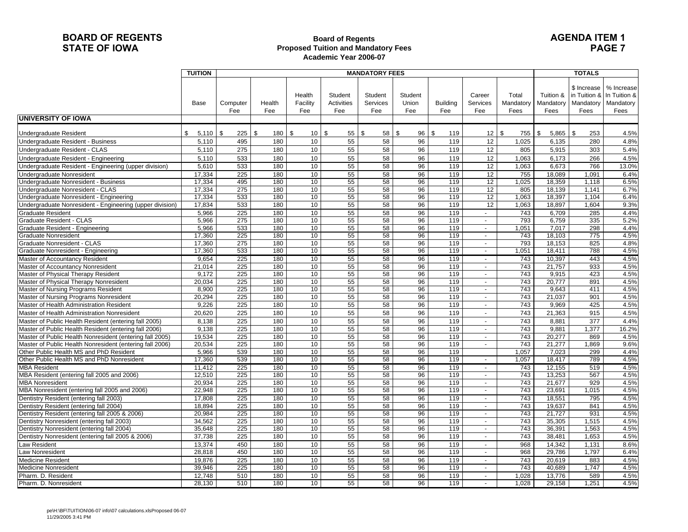# **BOARD OF REGENTS STATE OF IOWA**

#### **Board of Regents Proposed Tuition and Mandatory Fees Academic Year 2006-07**

# **AGENDA ITEM 1PAGE 7**

|                                                            | TUITION          |                   |               |                           |                                     | <b>MANDATORY FEES</b>      |                         |                        |                           |                            | <b>TOTALS</b>                  |                                                  |                                                 |
|------------------------------------------------------------|------------------|-------------------|---------------|---------------------------|-------------------------------------|----------------------------|-------------------------|------------------------|---------------------------|----------------------------|--------------------------------|--------------------------------------------------|-------------------------------------------------|
|                                                            | Base             | Computer<br>Fee   | Health<br>Fee | Health<br>Facility<br>Fee | Student<br><b>Activities</b><br>Fee | Student<br>Services<br>Fee | Student<br>Union<br>Fee | <b>Building</b><br>Fee | Career<br>Services<br>Fee | Total<br>Mandatory<br>Fees | Tuition &<br>Mandatory<br>Fees | \$ Increase<br>in Tuition &<br>Mandatory<br>Fees | % Increase<br>In Tuition &<br>Mandatory<br>Fees |
| <b>IUNIVERSITY OF IOWA</b>                                 |                  |                   |               |                           |                                     |                            |                         |                        |                           |                            |                                |                                                  |                                                 |
|                                                            |                  |                   |               |                           |                                     |                            |                         |                        |                           |                            |                                |                                                  |                                                 |
| Undergraduate Resident                                     | \$<br>5,110      | $\sqrt{3}$<br>225 | \$<br>180 \$  | 10 <sup>°</sup>           | \$<br>55                            | \$<br>58                   | \$<br>96                | \$<br>119              | 12                        | $\sqrt{3}$<br>755          | \$<br>5,865                    | 253<br>\$                                        | 4.5%                                            |
| Undergraduate Resident - Business                          | 5,110            | 495               | 180           | 10                        | 55                                  | 58                         | 96                      | 119                    | 12                        | 1,025                      | 6,135                          | 280                                              | 4.8%                                            |
| Undergraduate Resident - CLAS                              | 5,110            | 275               | 180           | 10                        | 55                                  | 58                         | 96                      | 119                    | 12                        | 805                        | 5,915                          | 303                                              | 5.4%                                            |
| Undergraduate Resident - Engineering                       | 5,110            | 533               | 180           | 10                        | 55                                  | 58                         | 96                      | 119                    | 12                        | 1,063                      | 6,173                          | 266                                              | 4.5%                                            |
| Undergraduate Resident - Engineering (upper division)      | 5,610            | 533               | 180           | 10                        | 55                                  | 58                         | 96                      | 119                    | 12                        | 1,063                      | 6,673                          | 766                                              | 13.0%                                           |
| Undergraduate Nonresident                                  | 17,334           | 225               | 180           | 10                        | 55                                  | 58                         | 96                      | 119                    | 12                        | 755                        | 18,089                         | 1,091                                            | 6.4%                                            |
| Undergraduate Nonresident - Business                       | 17,334           | 495               | 180           | 10                        | 55                                  | 58                         | 96                      | 119                    | 12                        | 1,025                      | 18,359                         | 1,118                                            | 6.5%                                            |
| Undergraduate Nonresident - CLAS                           | 17,334           | 275               | 180           | 10                        | 55                                  | 58                         | 96                      | 119                    | 12                        | 805                        | 18.139                         | 1.141                                            | 6.7%                                            |
| Undergraduate Nonresident - Engineering                    | 17,334           | 533               | 180           | 10                        | 55                                  | 58                         | 96                      | 119                    | 12                        | 1,063                      | 18,397                         | 1,104                                            | 6.4%                                            |
| Undergraduate Nonresident - Engineering (upper division)   | 17.834           | 533               | 180           | 10 <sup>°</sup>           | 55                                  | 58                         | 96                      | 119                    | 12                        | 1.063                      | 18.897                         | 1.604                                            | 9.3%                                            |
| <b>Graduate Resident</b>                                   | 5,966            | 225               | 180           | 10                        | 55                                  | 58                         | 96                      | 119                    | $\sim$                    | 743                        | 6,709                          | 285                                              | 4.4%                                            |
| Graduate Resident - CLAS                                   | 5,966            | $\overline{275}$  | 180<br>180    | 10                        | 55                                  | 58                         | 96                      | 119                    | $\overline{\phantom{a}}$  | 793                        | 6,759                          | 335                                              | 5.2%                                            |
| Graduate Resident - Engineering                            | 5,966            | 533<br>225        | 180           | 10<br>10                  | 55                                  | 58                         | 96                      | 119<br>119             | $\sim$                    | 1,051<br>743               | 7.017                          | 298                                              | 4.4%                                            |
| <b>Graduate Nonresident</b><br>Graduate Nonresident - CLAS | 17,360<br>17,360 | 275               | 180           | 10 <sup>1</sup>           | 55<br>55                            | 58<br>58                   | 96<br>96                | 119                    | $\sim$<br>$\sim$          | 793                        | 18,103<br>18,153               | 775<br>825                                       | 4.5%<br>4.8%                                    |
| Graduate Nonresident - Engineering                         | 17,360           | 533               | 180           | 10 <sup>1</sup>           | 55                                  | 58                         | 96                      | 119                    | $\blacksquare$            | 1,051                      | 18,411                         | 788                                              | 4.5%                                            |
| <b>Master of Accountancy Resident</b>                      | 9.654            | 225               | 180           | 10                        | 55                                  | 58                         | 96                      | 119                    | $\sim$                    | 743                        | 10,397                         | 443                                              | 4.5%                                            |
| Master of Accountancy Nonresident                          | 21,014           | 225               | 180           | 10 <sup>1</sup>           | 55                                  | 58                         | 96                      | 119                    | $\blacksquare$            | 743                        | 21,757                         | 933                                              | 4.5%                                            |
| Master of Physical Therapy Resident                        | 9,172            | 225               | 180           | 10                        | 55                                  | 58                         | 96                      | 119                    | $\sim$                    | 743                        | 9,915                          | 423                                              | 4.5%                                            |
| Master of Physical Therapy Nonresident                     | 20,034           | 225               | 180           | 10 <sup>°</sup>           | 55                                  | 58                         | 96                      | 119                    | $\blacksquare$            | 743                        | 20,777                         | 891                                              | 4.5%                                            |
| Master of Nursing Programs Resident                        | 8,900            | $\overline{225}$  | 180           | 10                        | 55                                  | 58                         | 96                      | 119                    | $\overline{\phantom{a}}$  | 743                        | 9,643                          | 411                                              | 4.5%                                            |
| Master of Nursing Programs Nonresident                     | 20.294           | 225               | 180           | 10 <sup>°</sup>           | 55                                  | 58                         | 96                      | 119                    | $\omega$                  | 743                        | 21.037                         | 901                                              | 4.5%                                            |
| Master of Health Administration Resident                   | 9,226            | 225               | 180           | 10 <sup>1</sup>           | 55                                  | 58                         | 96                      | 119                    | $\sim$                    | 743                        | 9,969                          | 425                                              | 4.5%                                            |
| Master of Health Administration Nonresident                | 20,620           | 225               | 180           | 10                        | 55                                  | 58                         | 96                      | 119                    | $\sim$                    | 743                        | 21,363                         | 915                                              | 4.5%                                            |
| Master of Public Health Resident (entering fall 2005)      | 8,138            | 225               | 180           | 10                        | 55                                  | 58                         | 96                      | 119                    | $\sim$                    | 743                        | 8,881                          | 377                                              | 4.4%                                            |
| Master of Public Health Resident (entering fall 2006)      | 9,138            | 225               | 180           | 10                        | 55                                  | 58                         | 96                      | 119                    | $\sim$                    | 743                        | 9,881                          | 1,377                                            | 16.2%                                           |
| Master of Public Health Nonresident (entering fall 2005)   | 19,534           | 225               | 180           | 10                        | 55                                  | 58                         | 96                      | 119                    | $\sim$                    | 743                        | 20,277                         | 869                                              | 4.5%                                            |
| Master of Public Health Nonresident (entering fall 2006)   | 20,534           | 225               | 180           | 10 <sup>1</sup>           | 55                                  | 58                         | 96                      | 119                    | $\overline{\phantom{a}}$  | 743                        | 21,277                         | 1,869                                            | 9.6%                                            |
| Other Public Health MS and PhD Resident                    | 5,966            | 539               | 180           | 10                        | 55                                  | 58                         | 96                      | 119                    |                           | 1,057                      | 7,023                          | 299                                              | 4.4%                                            |
| Other Public Health MS and PhD Nonresident                 | 17,360           | 539               | 180           | 10                        | 55                                  | 58                         | 96                      | 119                    | $\blacksquare$            | 1,057                      | 18,417                         | 789                                              | 4.5%                                            |
| <b>MBA Resident</b>                                        | 11,412           | 225               | 180           | 10                        | 55                                  | 58                         | 96                      | 119                    | $\sim$                    | 743                        | 12,155                         | 519                                              | 4.5%                                            |
| MBA Resident (entering fall 2005 and 2006)                 | 12.510           | 225               | 180           | 10 <sup>°</sup>           | 55                                  | 58                         | 96                      | 119                    | $\omega$                  | 743                        | 13,253                         | 567                                              | 4.5%                                            |
| <b>MBA Nonresident</b>                                     | 20,934           | 225               | 180           | 10                        | 55                                  | 58                         | 96                      | 119                    | $\sim$                    | 743                        | 21,677                         | 929                                              | 4.5%                                            |
| MBA Nonresident (entering fall 2005 and 2006)              | 22,948           | 225               | 180           | 10                        | 55                                  | 58                         | 96                      | 119                    | $\overline{a}$            | 743                        | 23,691                         | 1,015                                            | 4.5%                                            |
| Dentistry Resident (entering fall 2003)                    | 17,808           | 225               | 180           | 10                        | 55                                  | 58                         | 96                      | 119                    | $\sim$                    | 743                        | 18,551                         | 795                                              | 4.5%                                            |
| Dentistry Resident (entering fall 2004)                    | 18,894           | 225               | 180           | 10                        | 55                                  | 58                         | 96                      | 119                    | $\sim$                    | 743                        | 19,637                         | 841                                              | 4.5%                                            |
| Dentistry Resident (entering fall 2005 & 2006)             | 20,984           | 225               | 180           | 10                        | 55                                  | 58                         | 96                      | 119                    | $\sim$                    | 743                        | 21,727                         | 931                                              | 4.5%                                            |
| Dentistry Nonresident (entering fall 2003)                 | 34.562           | $\overline{225}$  | 180           | 10 <sup>°</sup>           | 55                                  | 58                         | 96                      | 119                    | $\omega$                  | 743                        | 35.305                         | 1.515                                            | 4.5%                                            |
| Dentistry Nonresident (entering fall 2004)                 | 35,648           | 225               | 180           | 10                        | 55                                  | 58                         | 96                      | 119                    | $\sim$                    | 743                        | 36,391                         | 1,563                                            | 4.5%                                            |
| Dentistry Nonresident (entering fall 2005 & 2006)          | 37.738           | 225               | 180           | 10                        | 55                                  | 58                         | 96                      | 119                    | $\sim$                    | 743                        | 38.481                         | 1.653                                            | 4.5%                                            |
| Law Resident                                               | 13,374           | 450               | 180           | 10                        | 55                                  | 58                         | 96                      | 119                    | $\sim$                    | 968                        | 14,342                         | 1,131                                            | 8.6%                                            |
| Law Nonresident                                            | 28,818           | 450               | 180           | 10                        | 55                                  | 58                         | 96                      | 119                    | $\overline{\phantom{a}}$  | 968                        | 29,786                         | 1,797                                            | 6.4%                                            |
| <b>Medicine Resident</b>                                   | 19.876           | 225               | 180           | 10                        | 55                                  | 58                         | 96                      | 119                    | $\blacksquare$            | 743                        | 20.619                         | 883                                              | 4.5%                                            |
| <b>Medicine Nonresident</b>                                | 39,946           | 225               | 180           | 10                        | 55                                  | 58                         | 96                      | 119                    | $\sim$                    | 743                        | 40,689                         | 1,747                                            | 4.5%                                            |
| Pharm. D. Resident                                         | 12,748           | 510               | 180           | 10                        | 55                                  | 58                         | 96                      | 119                    | $\sim$                    | 1,028                      | 13,776                         | 589                                              | 4.5%                                            |
| Pharm. D. Nonresident                                      | 28,130           | 510               | 180           | 10 <sup>1</sup>           | 55                                  | 58                         | 96                      | 119                    | $\sim$                    | 1,028                      | 29,158                         | 1,251                                            | 4.5%                                            |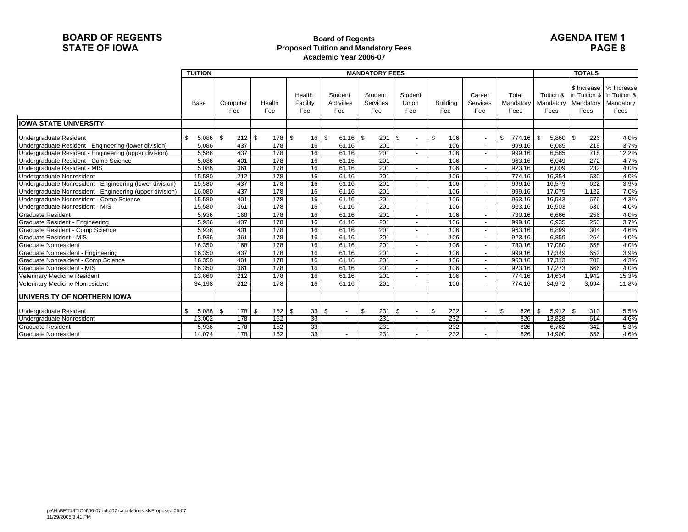# **BOARD OF REGENTSSTATE OF IOWA**

#### **Board of Regents Proposed Tuition and Mandatory Fees Academic Year 2006-07**

# **AGENDA ITEM 1PAGE 8**

|                                                          | <b>TUITION</b> |                 |               |                           |                              | <b>MANDATORY FEES</b>      |                                |                        |                           |                            | <b>TOTALS</b>     |                                                                             |                                 |
|----------------------------------------------------------|----------------|-----------------|---------------|---------------------------|------------------------------|----------------------------|--------------------------------|------------------------|---------------------------|----------------------------|-------------------|-----------------------------------------------------------------------------|---------------------------------|
|                                                          | <b>Base</b>    | Computer<br>Fee | Health<br>Fee | Health<br>Facility<br>Fee | Student<br>Activities<br>Fee | Student<br>Services<br>Fee | Student<br>Union<br>Fee        | <b>Building</b><br>Fee | Career<br>Services<br>Fee | Total<br>Mandatory<br>Fees | Mandatory<br>Fees | \$ Increase<br>Tuition & I in Tuition & I In Tuition &<br>Mandatory<br>Fees | % Increase<br>Mandatory<br>Fees |
| <b>IOWA STATE UNIVERSITY</b>                             |                |                 |               |                           |                              |                            |                                |                        |                           |                            |                   |                                                                             |                                 |
| <b>Undergraduate Resident</b>                            | \$<br>5,086    | \$<br>212       | l \$<br>178   | \$<br>16                  | \$<br>61.16                  | \$<br>201                  | \$<br>$\overline{\phantom{a}}$ | \$<br>106              | $\sim$                    | \$<br>774.16               | l \$<br>5,860     | 226<br>-\$                                                                  | 4.0%                            |
| Undergraduate Resident - Engineering (lower division)    | 5,086          | 437             | 178           | 16                        | 61.16                        | 201                        |                                | 106                    | $\sim$                    | 999.16                     | 6,085             | 218                                                                         | 3.7%                            |
| Undergraduate Resident - Engineering (upper division)    | 5,586          | 437             | 178           | 16                        | 61.16                        | 201                        | $\sim$                         | 106                    | $\sim$                    | 999.16                     | 6,585             | 718                                                                         | 12.2%                           |
| Undergraduate Resident - Comp Science                    | 5,086          | 401             | 178           | 16                        | 61.16                        | 201                        | $\sim$                         | 106                    | $\sim$                    | 963.16                     | 6.049             | 272                                                                         | 4.7%                            |
| Undergraduate Resident - MIS                             | 5,086          | 361             | 178           | 16                        | 61.16                        | 201                        | $\mathbf{r}$                   | 106                    | $\overline{a}$            | 923.16                     | 6,009             | 232                                                                         | 4.0%                            |
| Undergraduate Nonresident                                | 15,580         | 212             | 178           | 16                        | 61.16                        | 201                        | $\sim$                         | 106                    | $\sim$                    | 774.16                     | 16,354            | 630                                                                         | 4.0%                            |
| Undergraduate Nonresident - Engineering (lower division) | 15,580         | 437             | 178           | 16                        | 61.16                        | 201                        | $\sim$                         | 106                    | $\sim$                    | 999.16                     | 16,579            | 622                                                                         | 3.9%                            |
| Undergraduate Nonresident - Engineering (upper division) | 16,080         | 437             | 178           | 16                        | 61.16                        | 201                        | $\overline{a}$                 | 106                    | $\sim$                    | 999.16                     | 17,079            | 1,122                                                                       | 7.0%                            |
| Undergraduate Nonresident - Comp Science                 | 15,580         | 401             | 178           | 16                        | 61.16                        | 201                        |                                | 106                    | $\sim$                    | 963.16                     | 16,543            | 676                                                                         | 4.3%                            |
| Undergraduate Nonresident - MIS                          | 15,580         | 361             | 178           | 16                        | 61.16                        | 201                        | $\sim$                         | 106                    | $\sim$                    | 923.16                     | 16,503            | 636                                                                         | 4.0%                            |
| <b>Graduate Resident</b>                                 | 5,936          | 168             | 178           | 16                        | 61.16                        | 201                        |                                | 106                    | $\overline{\phantom{a}}$  | 730.16                     | 6.666             | 256                                                                         | 4.0%                            |
| Graduate Resident - Engineering                          | 5,936          | 437             | 178           | 16                        | 61.16                        | 201                        | $\overline{a}$                 | 106                    | $\sim$                    | 999.16                     | 6,935             | 250                                                                         | 3.7%                            |
| Graduate Resident - Comp Science                         | 5,936          | 401             | 178           | 16                        | 61.16                        | 201                        | $\sim$                         | 106                    | $\sim$                    | 963.16                     | 6,899             | 304                                                                         | 4.6%                            |
| Graduate Resident - MIS                                  | 5,936          | 361             | 178           | 16                        | 61.16                        | 201                        | $\sim$                         | 106                    | $\sim$                    | 923.16                     | 6,859             | 264                                                                         | 4.0%                            |
| <b>Graduate Nonresident</b>                              | 16,350         | 168             | 178           | 16                        | 61.16                        | 201                        | $\sim$                         | 106                    | $\sim$                    | 730.16                     | 17,080            | 658                                                                         | 4.0%                            |
| Graduate Nonresident - Engineering                       | 16,350         | 437             | 178           | 16                        | 61.16                        | 201                        | $\sim$                         | 106                    | $\sim$                    | 999.16                     | 17,349            | 652                                                                         | 3.9%                            |
| Graduate Nonresident - Comp Science                      | 16,350         | 401             | 178           | 16                        | 61.16                        | 201                        | $\sim$                         | 106                    | $\sim$                    | 963.16                     | 17,313            | 706                                                                         | 4.3%                            |
| Graduate Nonresident - MIS                               | 16,350         | 361             | 178           | 16                        | 61.16                        | 201                        | $\sim$                         | 106                    | $\sim$                    | 923.16                     | 17,273            | 666                                                                         | 4.0%                            |
| <b>Veterinary Medicine Resident</b>                      | 13.860         | 212             | 178           | 16                        | 61.16                        | 201                        | $\overline{\phantom{a}}$       | 106                    | $\overline{\phantom{a}}$  | 774.16                     | 14,634            | 1.942                                                                       | 15.3%                           |
| Veterinary Medicine Nonresident                          | 34,198         | 212             | 178           | 16                        | 61.16                        | 201                        |                                | 106                    |                           | 774.16                     | 34,972            | 3.694                                                                       | 11.8%                           |
| UNIVERSITY OF NORTHERN IOWA                              |                |                 |               |                           |                              |                            |                                |                        |                           |                            |                   |                                                                             |                                 |
| Undergraduate Resident                                   | \$<br>5.086    | 178<br>\$       | - \$<br>152   | \$<br>33                  | \$                           | \$<br>231                  | \$                             | \$<br>232              | $\blacksquare$            | \$<br>826                  | 5,912<br>-\$      | \$<br>310                                                                   | 5.5%                            |
| Undergraduate Nonresident                                | 13,002         | 178             | 152           | 33                        | $\blacksquare$               | 231                        | $\sim$                         | 232                    | $\sim$                    | 826                        | 13,828            | 614                                                                         | 4.6%                            |
| <b>Graduate Resident</b>                                 | 5.936          | 178             | 152           | 33                        | ٠                            | 231                        | $\overline{\phantom{a}}$       | 232                    | $\overline{\phantom{a}}$  | 826                        | 6.762             | 342                                                                         | 5.3%                            |
| <b>Graduate Nonresident</b>                              | 14,074         | 178             | 152           | 33                        | ٠                            | 231                        | $\overline{a}$                 | 232                    | $\sim$                    | 826                        | 14,900            | 656                                                                         | 4.6%                            |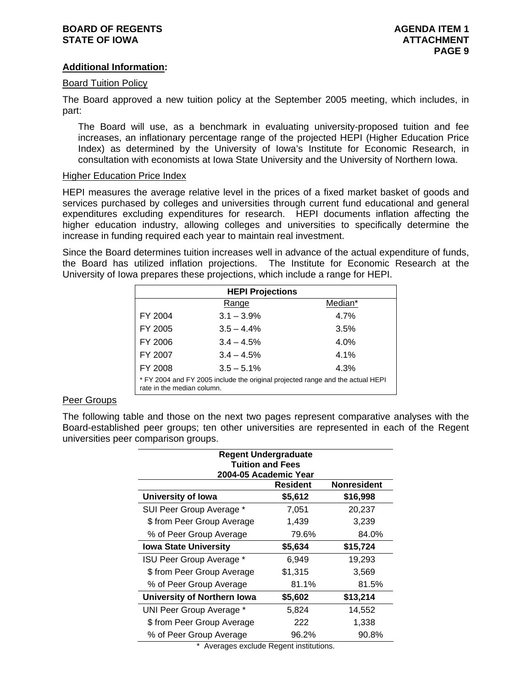# **Additional Information:**

## Board Tuition Policy

The Board approved a new tuition policy at the September 2005 meeting, which includes, in part:

The Board will use, as a benchmark in evaluating university-proposed tuition and fee increases, an inflationary percentage range of the projected HEPI (Higher Education Price Index) as determined by the University of Iowa's Institute for Economic Research, in consultation with economists at Iowa State University and the University of Northern Iowa.

#### Higher Education Price Index

HEPI measures the average relative level in the prices of a fixed market basket of goods and services purchased by colleges and universities through current fund educational and general expenditures excluding expenditures for research. HEPI documents inflation affecting the higher education industry, allowing colleges and universities to specifically determine the increase in funding required each year to maintain real investment.

Since the Board determines tuition increases well in advance of the actual expenditure of funds, the Board has utilized inflation projections. The Institute for Economic Research at the University of Iowa prepares these projections, which include a range for HEPI.

| <b>HEPI Projections</b> |                                                                                                              |         |  |  |  |  |  |
|-------------------------|--------------------------------------------------------------------------------------------------------------|---------|--|--|--|--|--|
|                         | Range                                                                                                        | Median* |  |  |  |  |  |
| FY 2004                 | $3.1 - 3.9\%$                                                                                                | 4.7%    |  |  |  |  |  |
| FY 2005                 | $3.5 - 4.4\%$                                                                                                | 3.5%    |  |  |  |  |  |
| FY 2006                 | $3.4 - 4.5%$                                                                                                 | 4.0%    |  |  |  |  |  |
| FY 2007                 | $3.4 - 4.5%$                                                                                                 | 4.1%    |  |  |  |  |  |
| FY 2008                 | $3.5 - 5.1\%$                                                                                                | 4.3%    |  |  |  |  |  |
|                         | * FY 2004 and FY 2005 include the original projected range and the actual HEPI<br>rate in the median column. |         |  |  |  |  |  |

#### Peer Groups

The following table and those on the next two pages represent comparative analyses with the Board-established peer groups; ten other universities are represented in each of the Regent universities peer comparison groups.

| <b>Regent Undergraduate</b><br><b>Tuition and Fees</b><br>2004-05 Academic Year |                                       |          |  |  |  |  |  |  |  |  |
|---------------------------------------------------------------------------------|---------------------------------------|----------|--|--|--|--|--|--|--|--|
|                                                                                 | <b>Nonresident</b><br><b>Resident</b> |          |  |  |  |  |  |  |  |  |
| University of Iowa<br>\$5,612<br>\$16,998                                       |                                       |          |  |  |  |  |  |  |  |  |
| SUI Peer Group Average *                                                        | 7,051                                 | 20,237   |  |  |  |  |  |  |  |  |
| \$ from Peer Group Average                                                      | 1,439                                 | 3,239    |  |  |  |  |  |  |  |  |
| % of Peer Group Average                                                         | 79.6%                                 | 84.0%    |  |  |  |  |  |  |  |  |
| <b>Iowa State University</b><br>\$5,634<br>\$15,724                             |                                       |          |  |  |  |  |  |  |  |  |
| ISU Peer Group Average *                                                        | 6,949                                 | 19,293   |  |  |  |  |  |  |  |  |
| \$ from Peer Group Average                                                      | \$1,315                               | 3,569    |  |  |  |  |  |  |  |  |
| % of Peer Group Average                                                         | 81.1%                                 | 81.5%    |  |  |  |  |  |  |  |  |
| <b>University of Northern Iowa</b>                                              | \$5,602                               | \$13,214 |  |  |  |  |  |  |  |  |
| <b>UNI Peer Group Average *</b>                                                 | 5,824                                 | 14,552   |  |  |  |  |  |  |  |  |
| \$ from Peer Group Average                                                      | 222                                   | 1,338    |  |  |  |  |  |  |  |  |
| % of Peer Group Average                                                         | 96.2%                                 | 90.8%    |  |  |  |  |  |  |  |  |

Averages exclude Regent institutions.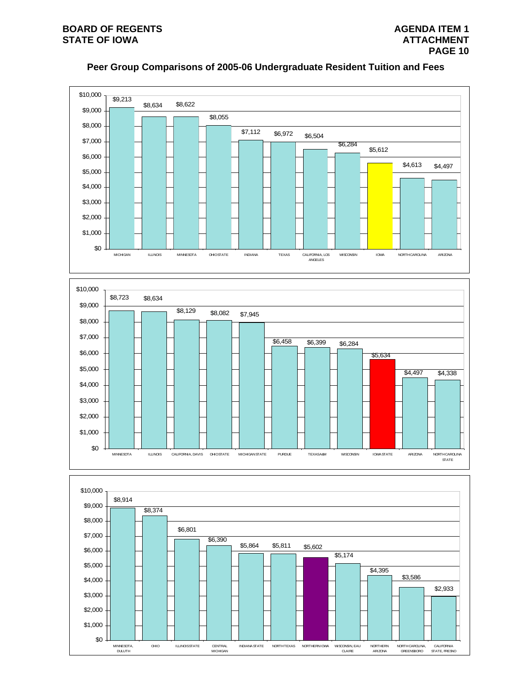# **Peer Group Comparisons of 2005-06 Undergraduate Resident Tuition and Fees**





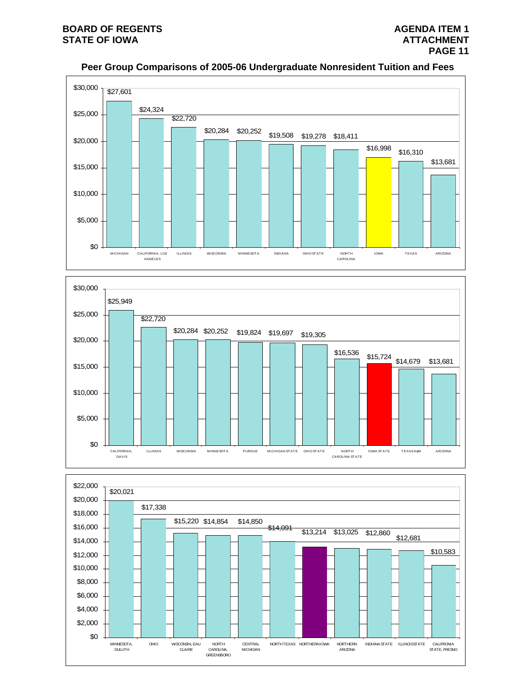

## **Peer Group Comparisons of 2005-06 Undergraduate Nonresident Tuition and Fees**